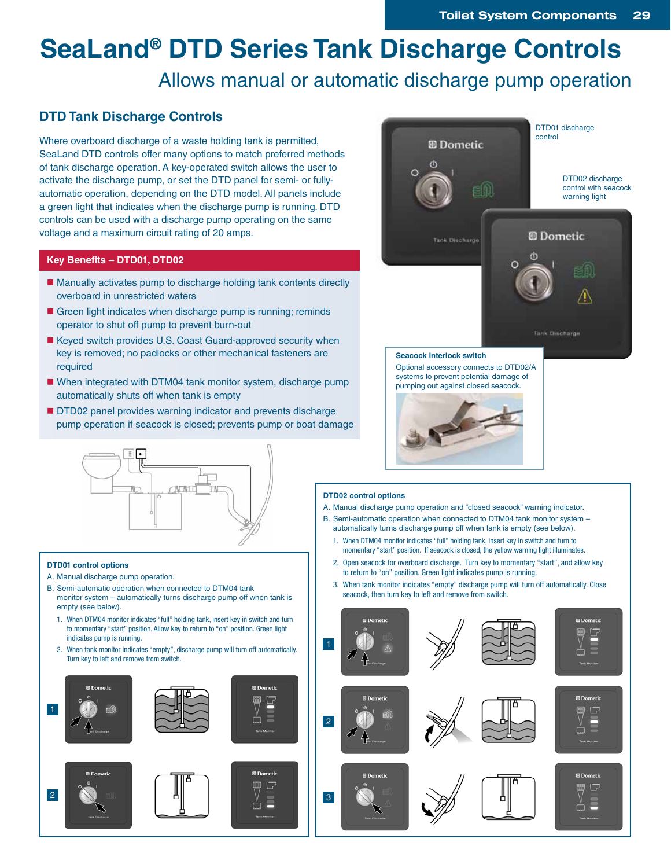# **SeaLand® DTD Series Tank Discharge Controls**

# Allows manual or automatic discharge pump operation

## **DTD Tank Discharge Controls**

Where overboard discharge of a waste holding tank is permitted, SeaLand DTD controls offer many options to match preferred methods of tank discharge operation. A key-operated switch allows the user to activate the discharge pump, or set the DTD panel for semi- or fullyautomatic operation, depending on the DTD model. All panels include a green light that indicates when the discharge pump is running. DTD controls can be used with a discharge pump operating on the same voltage and a maximum circuit rating of 20 amps.

### **Key Benefits – DTD01, DTD02**

- Manually activates pump to discharge holding tank contents directly overboard in unrestricted waters
- Green light indicates when discharge pump is running; reminds operator to shut off pump to prevent burn-out
- Keyed switch provides U.S. Coast Guard-approved security when key is removed; no padlocks or other mechanical fasteners are required
- When integrated with DTM04 tank monitor system, discharge pump automatically shuts off when tank is empty
- **DTD02 panel provides warning indicator and prevents discharge** pump operation if seacock is closed; prevents pump or boat damage





### **DTD01 control options**

- A. Manual discharge pump operation.
- B. Semi-automatic operation when connected to DTM04 tank monitor system – automatically turns discharge pump off when tank is empty (see below).
	- 1. When DTM04 monitor indicates "full" holding tank, insert key in switch and turn to momentary "start" position. Allow key to return to "on" position. Green light indicates pump is running.
	- 2. When tank monitor indicates "empty", discharge pump will turn off automatically. Turn key to left and remove from switch.

E

G



### **DTD02 control options**

- A. Manual discharge pump operation and "closed seacock" warning indicator.
- B. Semi-automatic operation when connected to DTM04 tank monitor system automatically turns discharge pump off when tank is empty (see below).
	- 1. When DTM04 monitor indicates "full" holding tank, insert key in switch and turn to momentary "start" position. If seacock is closed, the yellow warning light illuminates.
	- 2. Open seacock for overboard discharge. Turn key to momentary "start", and allow key to return to "on" position. Green light indicates pump is running.
	- 3. When tank monitor indicates "empty" discharge pump will turn off automatically. Close seacock, then turn key to left and remove from switch.